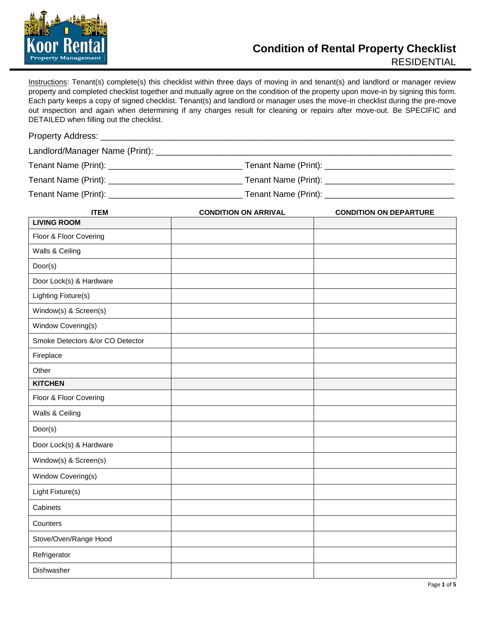

Instructions: Tenant(s) complete(s) this checklist within three days of moving in and tenant(s) and landlord or manager review property and completed checklist together and mutually agree on the condition of the property upon move-in by signing this form. Each party keeps a copy of signed checklist. Tenant(s) and landlord or manager uses the move-in checklist during the pre-move out inspection and again when determining if any charges result for cleaning or repairs after move-out. Be SPECIFIC and DETAILED when filling out the checklist.

| DETAILLD WITCH HIMITY OUT THE CHECKING. |                             |                               |  |
|-----------------------------------------|-----------------------------|-------------------------------|--|
|                                         |                             |                               |  |
|                                         |                             |                               |  |
|                                         |                             |                               |  |
|                                         |                             |                               |  |
|                                         |                             |                               |  |
| <b>ITEM</b>                             | <b>CONDITION ON ARRIVAL</b> | <b>CONDITION ON DEPARTURE</b> |  |
| <b>LIVING ROOM</b>                      |                             |                               |  |
| Floor & Floor Covering                  |                             |                               |  |
| Walls & Ceiling                         |                             |                               |  |
| Door(s)                                 |                             |                               |  |
| Door Lock(s) & Hardware                 |                             |                               |  |
| Lighting Fixture(s)                     |                             |                               |  |
| Window(s) & Screen(s)                   |                             |                               |  |
| Window Covering(s)                      |                             |                               |  |
| Smoke Detectors &/or CO Detector        |                             |                               |  |
| Fireplace                               |                             |                               |  |
| Other                                   |                             |                               |  |
| <b>KITCHEN</b>                          |                             |                               |  |
| Floor & Floor Covering                  |                             |                               |  |
| Walls & Ceiling                         |                             |                               |  |
| Door(s)                                 |                             |                               |  |
| Door Lock(s) & Hardware                 |                             |                               |  |
| Window(s) & Screen(s)                   |                             |                               |  |
| Window Covering(s)                      |                             |                               |  |
| Light Fixture(s)                        |                             |                               |  |
| Cabinets                                |                             |                               |  |
| Counters                                |                             |                               |  |
| Stove/Oven/Range Hood                   |                             |                               |  |
| Refrigerator                            |                             |                               |  |
| Dishwasher                              |                             |                               |  |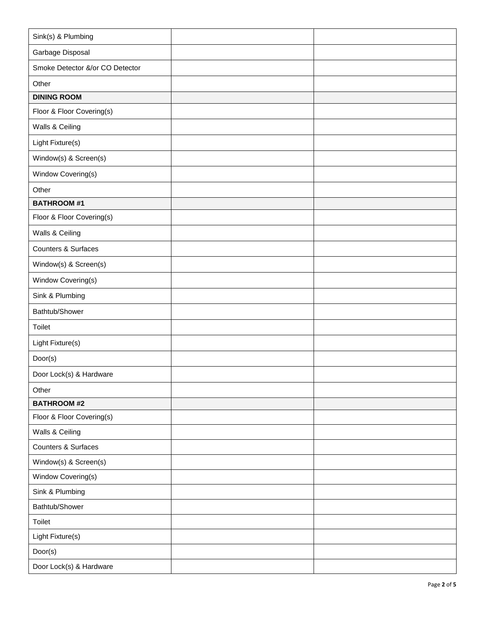| Sink(s) & Plumbing              |  |
|---------------------------------|--|
| Garbage Disposal                |  |
| Smoke Detector &/or CO Detector |  |
| Other                           |  |
| <b>DINING ROOM</b>              |  |
| Floor & Floor Covering(s)       |  |
| Walls & Ceiling                 |  |
| Light Fixture(s)                |  |
| Window(s) & Screen(s)           |  |
| Window Covering(s)              |  |
| Other                           |  |
| <b>BATHROOM#1</b>               |  |
| Floor & Floor Covering(s)       |  |
| Walls & Ceiling                 |  |
| Counters & Surfaces             |  |
| Window(s) & Screen(s)           |  |
| Window Covering(s)              |  |
| Sink & Plumbing                 |  |
| Bathtub/Shower                  |  |
| Toilet                          |  |
| Light Fixture(s)                |  |
| Door(s)                         |  |
| Door Lock(s) & Hardware         |  |
| Other                           |  |
| <b>BATHROOM #2</b>              |  |
| Floor & Floor Covering(s)       |  |
| Walls & Ceiling                 |  |
| Counters & Surfaces             |  |
| Window(s) & Screen(s)           |  |
| Window Covering(s)              |  |
| Sink & Plumbing                 |  |
| Bathtub/Shower                  |  |
| Toilet                          |  |
| Light Fixture(s)                |  |
| Door(s)                         |  |
| Door Lock(s) & Hardware         |  |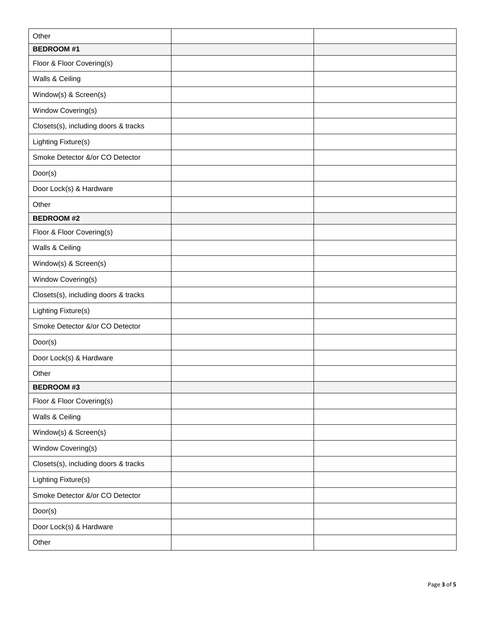| Other                                |  |
|--------------------------------------|--|
| <b>BEDROOM#1</b>                     |  |
| Floor & Floor Covering(s)            |  |
| Walls & Ceiling                      |  |
| Window(s) & Screen(s)                |  |
| Window Covering(s)                   |  |
| Closets(s), including doors & tracks |  |
| Lighting Fixture(s)                  |  |
| Smoke Detector &/or CO Detector      |  |
| Door(s)                              |  |
| Door Lock(s) & Hardware              |  |
| Other                                |  |
| <b>BEDROOM#2</b>                     |  |
| Floor & Floor Covering(s)            |  |
| Walls & Ceiling                      |  |
| Window(s) & Screen(s)                |  |
| Window Covering(s)                   |  |
| Closets(s), including doors & tracks |  |
| Lighting Fixture(s)                  |  |
| Smoke Detector &/or CO Detector      |  |
| Door(s)                              |  |
| Door Lock(s) & Hardware              |  |
| Other                                |  |
| <b>BEDROOM #3</b>                    |  |
| Floor & Floor Covering(s)            |  |
| Walls & Ceiling                      |  |
| Window(s) & Screen(s)                |  |
| Window Covering(s)                   |  |
| Closets(s), including doors & tracks |  |
| Lighting Fixture(s)                  |  |
| Smoke Detector &/or CO Detector      |  |
| Door(s)                              |  |
| Door Lock(s) & Hardware              |  |
| Other                                |  |